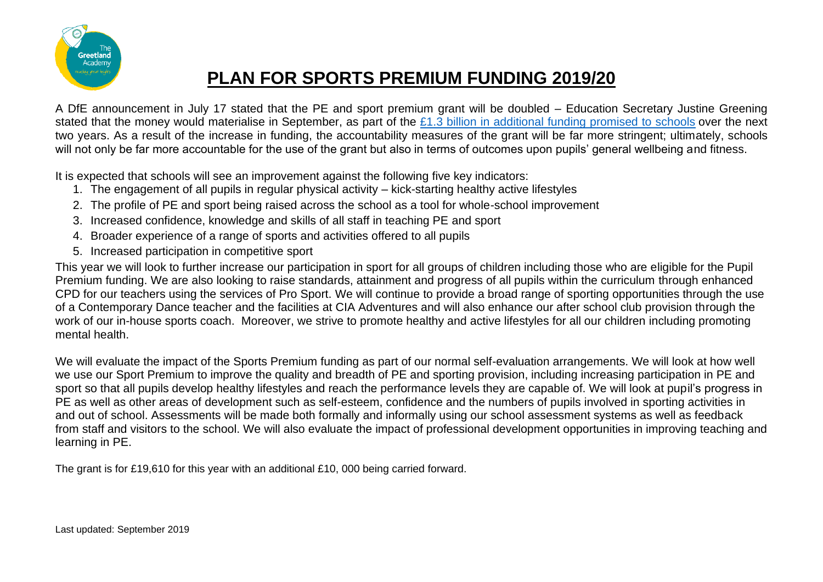

## **PLAN FOR SPORTS PREMIUM FUNDING 2019/20**

A DfE announcement in July 17 stated that the PE and sport premium grant will be doubled – Education Secretary Justine Greening stated that the money would materialise in September, as part of the [£1.3 billion in additional funding promised to schools](https://schoolsweek.co.uk/justine-greening-pledges-additional-1-3-billion-for-schools-over-two-years/) over the next two years. As a result of the increase in funding, the accountability measures of the grant will be far more stringent; ultimately, schools will not only be far more accountable for the use of the grant but also in terms of outcomes upon pupils' general wellbeing and fitness.

It is expected that schools will see an improvement against the following five key indicators:

- 1. The engagement of all pupils in regular physical activity kick-starting healthy active lifestyles
- 2. The profile of PE and sport being raised across the school as a tool for whole-school improvement
- 3. Increased confidence, knowledge and skills of all staff in teaching PE and sport
- 4. Broader experience of a range of sports and activities offered to all pupils
- 5. Increased participation in competitive sport

This year we will look to further increase our participation in sport for all groups of children including those who are eligible for the Pupil Premium funding. We are also looking to raise standards, attainment and progress of all pupils within the curriculum through enhanced CPD for our teachers using the services of Pro Sport. We will continue to provide a broad range of sporting opportunities through the use of a Contemporary Dance teacher and the facilities at CIA Adventures and will also enhance our after school club provision through the work of our in-house sports coach. Moreover, we strive to promote healthy and active lifestyles for all our children including promoting mental health.

We will evaluate the impact of the Sports Premium funding as part of our normal self-evaluation arrangements. We will look at how well we use our Sport Premium to improve the quality and breadth of PE and sporting provision, including increasing participation in PE and sport so that all pupils develop healthy lifestyles and reach the performance levels they are capable of. We will look at pupil's progress in PE as well as other areas of development such as self-esteem, confidence and the numbers of pupils involved in sporting activities in and out of school. Assessments will be made both formally and informally using our school assessment systems as well as feedback from staff and visitors to the school. We will also evaluate the impact of professional development opportunities in improving teaching and learning in PE.

The grant is for £19,610 for this year with an additional £10, 000 being carried forward.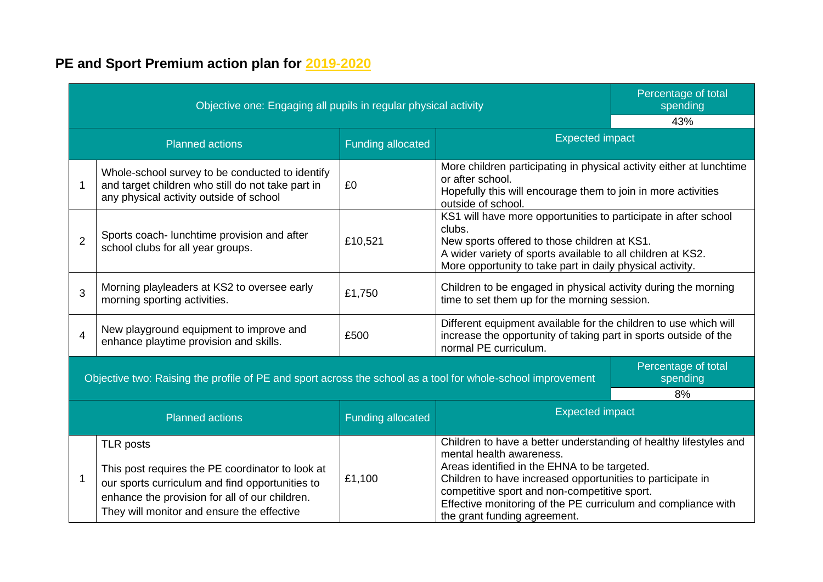## **PE and Sport Premium action plan for 2019-2020**

| Objective one: Engaging all pupils in regular physical activity                                             |                                                                                                                                                                                                                         |                          |                                                                                                                                                                                                                                                                                                                                                              | Percentage of total<br>spending |
|-------------------------------------------------------------------------------------------------------------|-------------------------------------------------------------------------------------------------------------------------------------------------------------------------------------------------------------------------|--------------------------|--------------------------------------------------------------------------------------------------------------------------------------------------------------------------------------------------------------------------------------------------------------------------------------------------------------------------------------------------------------|---------------------------------|
|                                                                                                             |                                                                                                                                                                                                                         |                          | 43%                                                                                                                                                                                                                                                                                                                                                          |                                 |
| <b>Planned actions</b>                                                                                      |                                                                                                                                                                                                                         | <b>Funding allocated</b> | <b>Expected impact</b>                                                                                                                                                                                                                                                                                                                                       |                                 |
| 1                                                                                                           | Whole-school survey to be conducted to identify<br>and target children who still do not take part in<br>any physical activity outside of school                                                                         | £0                       | More children participating in physical activity either at lunchtime<br>or after school.<br>Hopefully this will encourage them to join in more activities<br>outside of school.                                                                                                                                                                              |                                 |
| $\overline{2}$                                                                                              | Sports coach- lunchtime provision and after<br>school clubs for all year groups.                                                                                                                                        | £10,521                  | KS1 will have more opportunities to participate in after school<br>clubs.<br>New sports offered to those children at KS1.<br>A wider variety of sports available to all children at KS2.<br>More opportunity to take part in daily physical activity.                                                                                                        |                                 |
| 3                                                                                                           | Morning playleaders at KS2 to oversee early<br>morning sporting activities.                                                                                                                                             | £1,750                   | Children to be engaged in physical activity during the morning<br>time to set them up for the morning session.                                                                                                                                                                                                                                               |                                 |
| $\overline{\mathbf{4}}$                                                                                     | New playground equipment to improve and<br>enhance playtime provision and skills.                                                                                                                                       | £500                     | Different equipment available for the children to use which will<br>increase the opportunity of taking part in sports outside of the<br>normal PE curriculum.                                                                                                                                                                                                |                                 |
| Objective two: Raising the profile of PE and sport across the school as a tool for whole-school improvement |                                                                                                                                                                                                                         |                          | Percentage of total<br>spending                                                                                                                                                                                                                                                                                                                              |                                 |
|                                                                                                             |                                                                                                                                                                                                                         |                          |                                                                                                                                                                                                                                                                                                                                                              | 8%                              |
| <b>Planned actions</b>                                                                                      |                                                                                                                                                                                                                         | <b>Funding allocated</b> | <b>Expected impact</b>                                                                                                                                                                                                                                                                                                                                       |                                 |
| 1                                                                                                           | <b>TLR posts</b><br>This post requires the PE coordinator to look at<br>our sports curriculum and find opportunities to<br>enhance the provision for all of our children.<br>They will monitor and ensure the effective | £1,100                   | Children to have a better understanding of healthy lifestyles and<br>mental health awareness.<br>Areas identified in the EHNA to be targeted.<br>Children to have increased opportunities to participate in<br>competitive sport and non-competitive sport.<br>Effective monitoring of the PE curriculum and compliance with<br>the grant funding agreement. |                                 |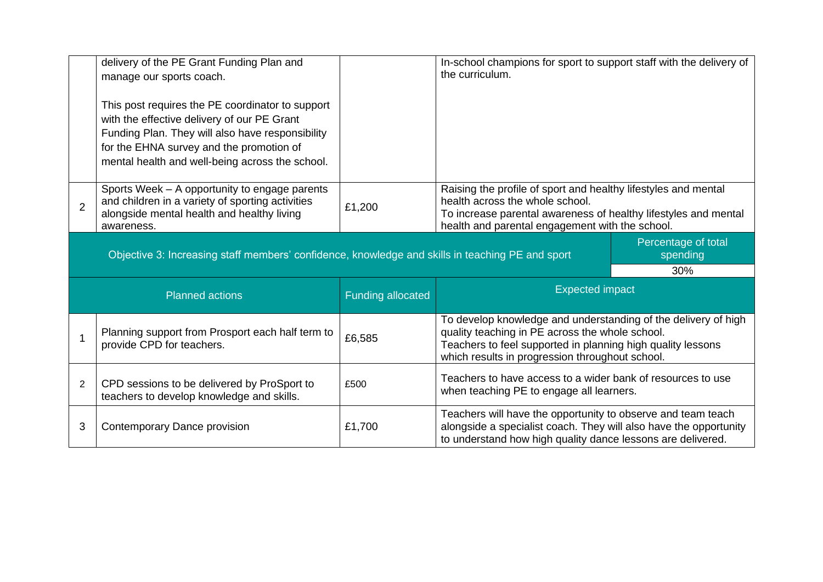|                                                    | delivery of the PE Grant Funding Plan and<br>manage our sports coach.<br>This post requires the PE coordinator to support<br>with the effective delivery of our PE Grant<br>Funding Plan. They will also have responsibility<br>for the EHNA survey and the promotion of<br>mental health and well-being across the school. |        | In-school champions for sport to support staff with the delivery of<br>the curriculum.                                                                                                                                              |  |
|----------------------------------------------------|-----------------------------------------------------------------------------------------------------------------------------------------------------------------------------------------------------------------------------------------------------------------------------------------------------------------------------|--------|-------------------------------------------------------------------------------------------------------------------------------------------------------------------------------------------------------------------------------------|--|
| $\overline{2}$                                     | Sports Week - A opportunity to engage parents<br>and children in a variety of sporting activities<br>alongside mental health and healthy living<br>awareness.                                                                                                                                                               | £1,200 | Raising the profile of sport and healthy lifestyles and mental<br>health across the whole school.<br>To increase parental awareness of healthy lifestyles and mental<br>health and parental engagement with the school.             |  |
|                                                    | Objective 3: Increasing staff members' confidence, knowledge and skills in teaching PE and sport                                                                                                                                                                                                                            |        | Percentage of total<br>spending<br>30%                                                                                                                                                                                              |  |
| <b>Funding allocated</b><br><b>Planned actions</b> |                                                                                                                                                                                                                                                                                                                             |        | <b>Expected impact</b>                                                                                                                                                                                                              |  |
|                                                    | Planning support from Prosport each half term to<br>provide CPD for teachers.                                                                                                                                                                                                                                               | £6,585 | To develop knowledge and understanding of the delivery of high<br>quality teaching in PE across the whole school.<br>Teachers to feel supported in planning high quality lessons<br>which results in progression throughout school. |  |
| $\overline{2}$                                     | CPD sessions to be delivered by ProSport to<br>teachers to develop knowledge and skills.                                                                                                                                                                                                                                    | £500   | Teachers to have access to a wider bank of resources to use<br>when teaching PE to engage all learners.                                                                                                                             |  |
| 3                                                  | Contemporary Dance provision                                                                                                                                                                                                                                                                                                | £1,700 | Teachers will have the opportunity to observe and team teach<br>alongside a specialist coach. They will also have the opportunity<br>to understand how high quality dance lessons are delivered.                                    |  |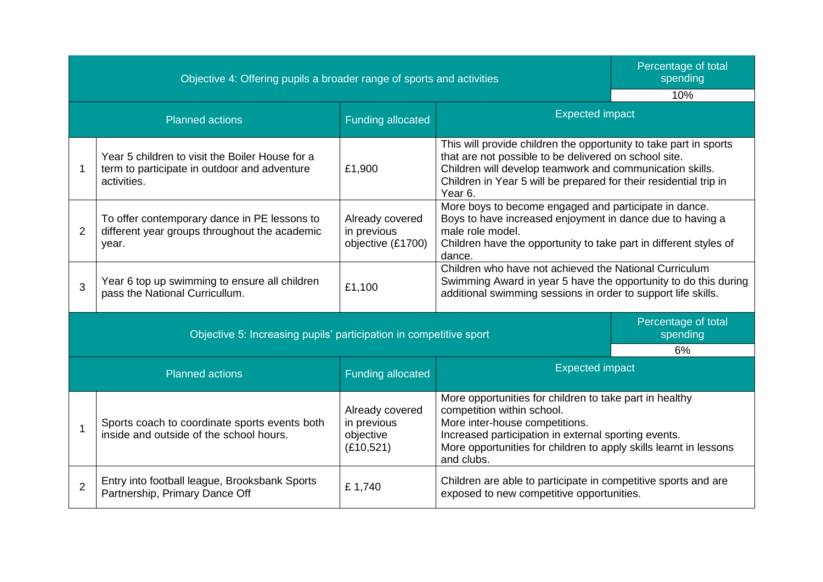Objective 4: Offering pupils a broader range of sports and activities

Percentage of total spending

┓

|                        | 10/0                                                                                                           |                                                           |                                                                                                                                                                                                                                                                        |  |  |
|------------------------|----------------------------------------------------------------------------------------------------------------|-----------------------------------------------------------|------------------------------------------------------------------------------------------------------------------------------------------------------------------------------------------------------------------------------------------------------------------------|--|--|
| <b>Planned actions</b> |                                                                                                                | <b>Funding allocated</b>                                  | <b>Expected impact</b>                                                                                                                                                                                                                                                 |  |  |
|                        | Year 5 children to visit the Boiler House for a<br>term to participate in outdoor and adventure<br>activities. | £1,900                                                    | This will provide children the opportunity to take part in sports<br>that are not possible to be delivered on school site.<br>Children will develop teamwork and communication skills.<br>Children in Year 5 will be prepared for their residential trip in<br>Year 6. |  |  |
| 2                      | To offer contemporary dance in PE lessons to<br>different year groups throughout the academic<br>year.         | Already covered<br>in previous<br>objective (£1700)       | More boys to become engaged and participate in dance.<br>Boys to have increased enjoyment in dance due to having a<br>male role model.<br>Children have the opportunity to take part in different styles of<br>dance.                                                  |  |  |
| 3                      | Year 6 top up swimming to ensure all children<br>pass the National Curricullum.                                | £1,100                                                    | Children who have not achieved the National Curriculum<br>Swimming Award in year 5 have the opportunity to do this during<br>additional swimming sessions in order to support life skills.                                                                             |  |  |
|                        | Objective 5: Increasing pupils' participation in competitive sport                                             |                                                           | Percentage of total<br>spending<br>6%                                                                                                                                                                                                                                  |  |  |
| <b>Planned actions</b> |                                                                                                                | <b>Funding allocated</b>                                  | <b>Expected impact</b>                                                                                                                                                                                                                                                 |  |  |
|                        | Sports coach to coordinate sports events both<br>inside and outside of the school hours.                       | Already covered<br>in previous<br>objective<br>(E10, 521) | More opportunities for children to take part in healthy<br>competition within school.<br>More inter-house competitions.<br>Increased participation in external sporting events.<br>More opportunities for children to apply skills learnt in lessons<br>and clubs.     |  |  |
| $\overline{2}$         | Entry into football league, Brooksbank Sports<br>Partnership, Primary Dance Off                                | £1,740                                                    | Children are able to participate in competitive sports and are<br>exposed to new competitive opportunities.                                                                                                                                                            |  |  |